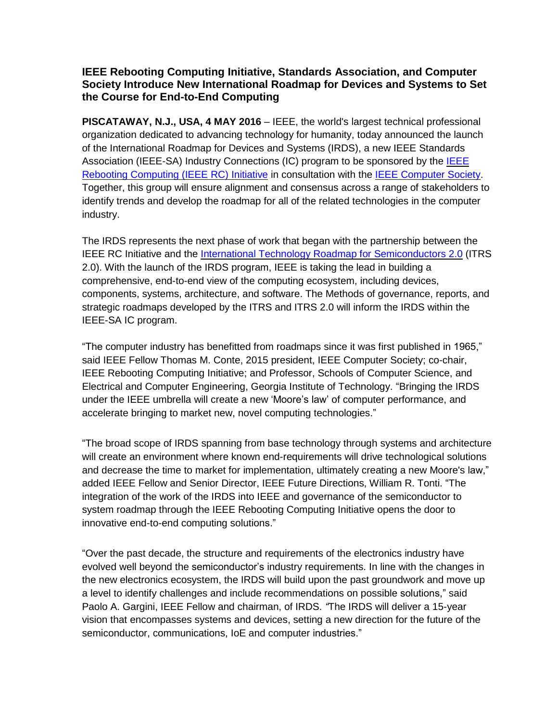## **IEEE Rebooting Computing Initiative, Standards Association, and Computer Society Introduce New International Roadmap for Devices and Systems to Set the Course for End-to-End Computing**

**PISCATAWAY, N.J., USA, 4 MAY 2016** – IEEE, the world's largest technical professional organization dedicated to advancing technology for humanity, today announced the launch of the International Roadmap for Devices and Systems (IRDS), a new IEEE Standards Association (IEEE-SA) Industry Connections (IC) program to be sponsored by the [IEEE](http://rebootingcomputing.ieee.org/) Rebooting [Computing](http://rebootingcomputing.ieee.org/) (IEEE RC) Initiative in consultation with the IEEE [Computer](https://www.computer.org/) Society. Together, this group will ensure alignment and consensus across a range of stakeholders to identify trends and develop the roadmap for all of the related technologies in the computer industry.

The IRDS represents the next phase of work that began with the partnership between the IEEE RC Initiative and the International Technology Roadmap for [Semiconductors](http://www.itrs2.net/) 2.0 (ITRS 2.0). With the launch of the IRDS program, IEEE is taking the lead in building a comprehensive, end-to-end view of the computing ecosystem, including devices, components, systems, architecture, and software. The Methods of governance, reports, and strategic roadmaps developed by the ITRS and ITRS 2.0 will inform the IRDS within the IEEE-SA IC program.

"The computer industry has benefitted from roadmaps since it was first published in 1965," said IEEE Fellow Thomas M. Conte, 2015 president, IEEE Computer Society; co-chair, IEEE Rebooting Computing Initiative; and Professor, Schools of Computer Science, and Electrical and Computer Engineering, Georgia Institute of Technology. "Bringing the IRDS under the IEEE umbrella will create a new 'Moore's law' of computer performance, and accelerate bringing to market new, novel computing technologies."

"The broad scope of IRDS spanning from base technology through systems and architecture will create an environment where known end-requirements will drive technological solutions and decrease the time to market for implementation, ultimately creating a new Moore's law," added IEEE Fellow and Senior Director, IEEE Future Directions, William R. Tonti. "The integration of the work of the IRDS into IEEE and governance of the semiconductor to system roadmap through the IEEE Rebooting Computing Initiative opens the door to innovative end-to-end computing solutions."

"Over the past decade, the structure and requirements of the electronics industry have evolved well beyond the semiconductor's industry requirements. In line with the changes in the new electronics ecosystem, the IRDS will build upon the past groundwork and move up a level to identify challenges and include recommendations on possible solutions," said Paolo A. Gargini, IEEE Fellow and chairman, of IRDS. *"*The IRDS will deliver a 15-year vision that encompasses systems and devices, setting a new direction for the future of the semiconductor, communications, IoE and computer industries."